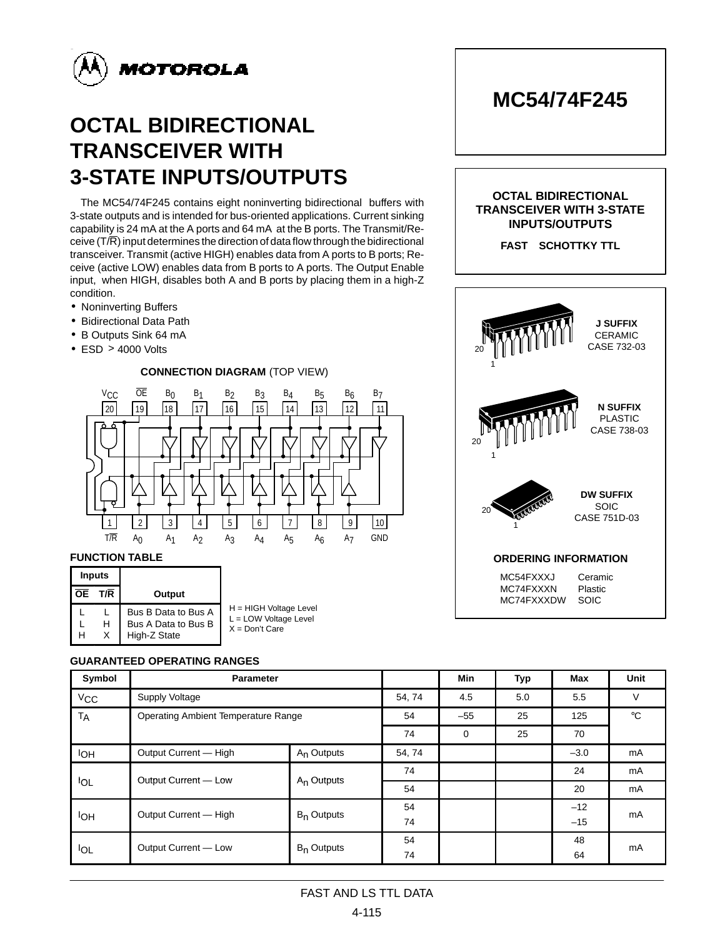

# **OCTAL BIDIRECTIONAL TRANSCEIVER WITH 3-STATE INPUTS/OUTPUTS**

The MC54/74F245 contains eight noninverting bidirectional buffers with 3-state outputs and is intended for bus-oriented applications. Current sinking capability is 24 mA at the A ports and 64 mA at the B ports. The Transmit/Receive  $(T/R)$  input determines the direction of data flow through the bidirectional transceiver. Transmit (active HIGH) enables data from A ports to B ports; Receive (active LOW) enables data from B ports to A ports. The Output Enable input, when HIGH, disables both A and B ports by placing them in a high-Z condition.

- Noninverting Buffers
- Bidirectional Data Path
- B Outputs Sink 64 mA
- ESD > 4000 Volts

### 19 |18 | |17 | |16 | |15 | |14 | |13 | |12 | |11 **V<sub>CC</sub>** 1 | 2 | | 3 | | 4 | | 5 | | 6 | | 7 20 OE B0 B1 B2 B3 B4 T/R A0 A1 A2 A3 A4 A5 **CONNECTION DIAGRAM** (TOP VIEW) 8 9 10 B5 B6 B7  $A<sub>6</sub>$   $A<sub>7</sub>$  GND

#### **FUNCTION TABLE**

| <b>Inputs</b> |     |                                                            |                                                                       |
|---------------|-----|------------------------------------------------------------|-----------------------------------------------------------------------|
| <b>OE</b>     | T/R | Output                                                     |                                                                       |
| н             |     | Bus B Data to Bus A<br>Bus A Data to Bus B<br>High-Z State | H = HIGH Voltage Level<br>$L =$ LOW Voltage Level<br>$X = Don't Care$ |

#### **GUARANTEED OPERATING RANGES**

| Symbol      | <b>Parameter</b>                           |                        | Min    | <b>Typ</b> | Max | Unit         |    |  |
|-------------|--------------------------------------------|------------------------|--------|------------|-----|--------------|----|--|
| $V_{CC}$    | Supply Voltage                             | 54, 74                 | 4.5    | 5.0        | 5.5 | V            |    |  |
| <b>TA</b>   | <b>Operating Ambient Temperature Range</b> | 54                     | $-55$  | 25         | 125 | $^{\circ}$ C |    |  |
|             |                                            | 74                     | 0      | 25         | 70  |              |    |  |
| <b>IOH</b>  | Output Current - High                      | A <sub>n</sub> Outputs | 54, 74 |            |     | $-3.0$       | mA |  |
| <b>I</b> OL | Output Current - Low                       | $A_n$ Outputs          | 74     |            |     | 24           | mA |  |
|             |                                            |                        | 54     |            |     | 20           | mA |  |
| lон         | Output Current - High                      | $B_n$ Outputs          | 54     |            |     | $-12$        | mA |  |
|             |                                            |                        | 74     |            |     | $-15$        |    |  |
| <b>IOL</b>  | Output Current - Low                       | $B_n$ Outputs          | 54     |            |     | 48           | mA |  |
|             |                                            |                        | 74     |            |     | 64           |    |  |

## **MC54/74F245**

#### **OCTAL BIDIRECTIONAL TRANSCEIVER WITH 3-STATE INPUTS/OUTPUTS**

**FAST<sup>™</sup> SCHOTTKY TTL** 



#### FAST AND LS TTL DATA